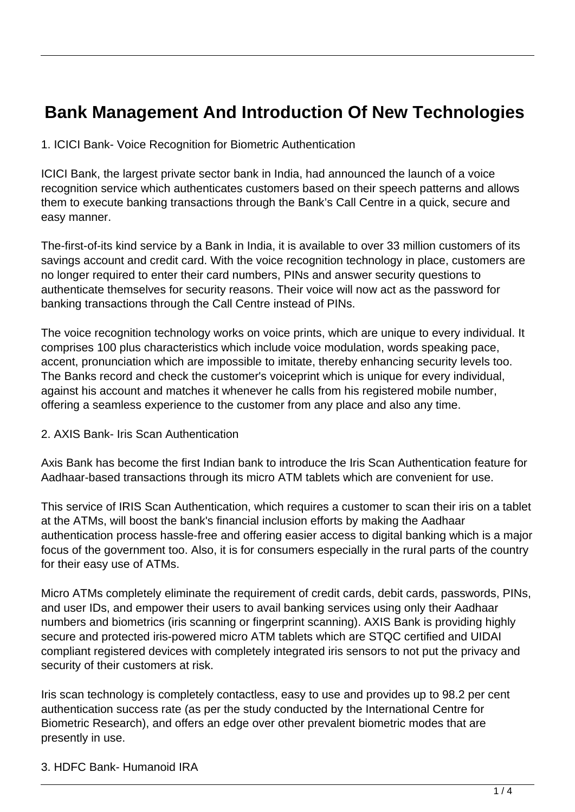# **Bank Management And Introduction Of New Technologies**

1. ICICI Bank- Voice Recognition for Biometric Authentication

ICICI Bank, the largest private sector bank in India, had announced the launch of a voice recognition service which authenticates customers based on their speech patterns and allows them to execute banking transactions through the Bank's Call Centre in a quick, secure and easy manner.

The-first-of-its kind service by a Bank in India, it is available to over 33 million customers of its savings account and credit card. With the voice recognition technology in place, customers are no longer required to enter their card numbers, PINs and answer security questions to authenticate themselves for security reasons. Their voice will now act as the password for banking transactions through the Call Centre instead of PINs.

The voice recognition technology works on voice prints, which are unique to every individual. It comprises 100 plus characteristics which include voice modulation, words speaking pace, accent, pronunciation which are impossible to imitate, thereby enhancing security levels too. The Banks record and check the customer's voiceprint which is unique for every individual, against his account and matches it whenever he calls from his registered mobile number, offering a seamless experience to the customer from any place and also any time.

#### 2. AXIS Bank- Iris Scan Authentication

Axis Bank has become the first Indian bank to introduce the Iris Scan Authentication feature for Aadhaar-based transactions through its micro ATM tablets which are convenient for use.

This service of IRIS Scan Authentication, which requires a customer to scan their iris on a tablet at the ATMs, will boost the bank's financial inclusion efforts by making the Aadhaar authentication process hassle-free and offering easier access to digital banking which is a major focus of the government too. Also, it is for consumers especially in the rural parts of the country for their easy use of ATMs.

Micro ATMs completely eliminate the requirement of credit cards, debit cards, passwords, PINs, and user IDs, and empower their users to avail banking services using only their Aadhaar numbers and biometrics (iris scanning or fingerprint scanning). AXIS Bank is providing highly secure and protected iris-powered micro ATM tablets which are STQC certified and UIDAI compliant registered devices with completely integrated iris sensors to not put the privacy and security of their customers at risk.

Iris scan technology is completely contactless, easy to use and provides up to 98.2 per cent authentication success rate (as per the study conducted by the International Centre for Biometric Research), and offers an edge over other prevalent biometric modes that are presently in use.

3. HDFC Bank- Humanoid IRA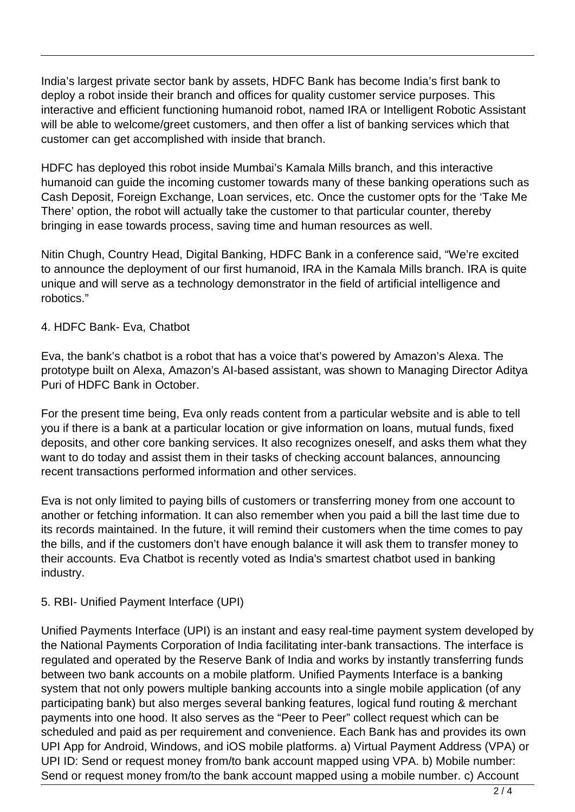India's largest private sector bank by assets, HDFC Bank has become India's first bank to deploy a robot inside their branch and offices for quality customer service purposes. This interactive and efficient functioning humanoid robot, named IRA or Intelligent Robotic Assistant will be able to welcome/greet customers, and then offer a list of banking services which that customer can get accomplished with inside that branch.

HDFC has deployed this robot inside Mumbai's Kamala Mills branch, and this interactive humanoid can guide the incoming customer towards many of these banking operations such as Cash Deposit, Foreign Exchange, Loan services, etc. Once the customer opts for the 'Take Me There' option, the robot will actually take the customer to that particular counter, thereby bringing in ease towards process, saving time and human resources as well.

Nitin Chugh, Country Head, Digital Banking, HDFC Bank in a conference said, "We're excited to announce the deployment of our first humanoid, IRA in the Kamala Mills branch. IRA is quite unique and will serve as a technology demonstrator in the field of artificial intelligence and robotics."

#### 4. HDFC Bank- Eva, Chatbot

Eva, the bank's chatbot is a robot that has a voice that's powered by Amazon's Alexa. The prototype built on Alexa, Amazon's AI-based assistant, was shown to Managing Director Aditya Puri of HDFC Bank in October.

For the present time being, Eva only reads content from a particular website and is able to tell you if there is a bank at a particular location or give information on loans, mutual funds, fixed deposits, and other core banking services. It also recognizes oneself, and asks them what they want to do today and assist them in their tasks of checking account balances, announcing recent transactions performed information and other services.

Eva is not only limited to paying bills of customers or transferring money from one account to another or fetching information. It can also remember when you paid a bill the last time due to its records maintained. In the future, it will remind their customers when the time comes to pay the bills, and if the customers don't have enough balance it will ask them to transfer money to their accounts. Eva Chatbot is recently voted as India's smartest chatbot used in banking industry.

## 5. RBI- Unified Payment Interface (UPI)

Unified Payments Interface (UPI) is an instant and easy real-time payment system developed by the National Payments Corporation of India facilitating inter-bank transactions. The interface is regulated and operated by the Reserve Bank of India and works by instantly transferring funds between two bank accounts on a mobile platform. Unified Payments Interface is a banking system that not only powers multiple banking accounts into a single mobile application (of any participating bank) but also merges several banking features, logical fund routing & merchant payments into one hood. It also serves as the "Peer to Peer" collect request which can be scheduled and paid as per requirement and convenience. Each Bank has and provides its own UPI App for Android, Windows, and iOS mobile platforms. a) Virtual Payment Address (VPA) or UPI ID: Send or request money from/to bank account mapped using VPA. b) Mobile number: Send or request money from/to the bank account mapped using a mobile number. c) Account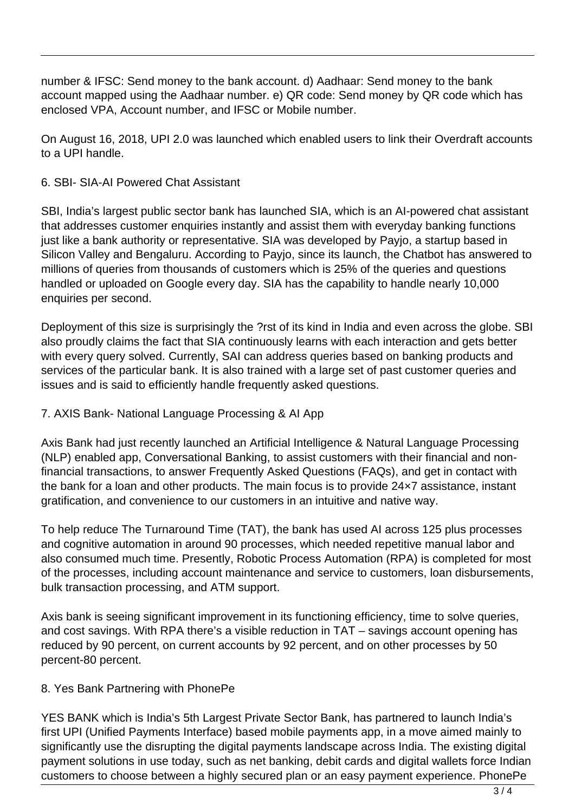number & IFSC: Send money to the bank account. d) Aadhaar: Send money to the bank account mapped using the Aadhaar number. e) QR code: Send money by QR code which has enclosed VPA, Account number, and IFSC or Mobile number.

On August 16, 2018, UPI 2.0 was launched which enabled users to link their Overdraft accounts to a UPI handle.

## 6. SBI- SIA-AI Powered Chat Assistant

SBI, India's largest public sector bank has launched SIA, which is an AI-powered chat assistant that addresses customer enquiries instantly and assist them with everyday banking functions just like a bank authority or representative. SIA was developed by Payjo, a startup based in Silicon Valley and Bengaluru. According to Payjo, since its launch, the Chatbot has answered to millions of queries from thousands of customers which is 25% of the queries and questions handled or uploaded on Google every day. SIA has the capability to handle nearly 10,000 enquiries per second.

Deployment of this size is surprisingly the ?rst of its kind in India and even across the globe. SBI also proudly claims the fact that SIA continuously learns with each interaction and gets better with every query solved. Currently, SAI can address queries based on banking products and services of the particular bank. It is also trained with a large set of past customer queries and issues and is said to efficiently handle frequently asked questions.

## 7. AXIS Bank- National Language Processing & AI App

Axis Bank had just recently launched an Artificial Intelligence & Natural Language Processing (NLP) enabled app, Conversational Banking, to assist customers with their financial and nonfinancial transactions, to answer Frequently Asked Questions (FAQs), and get in contact with the bank for a loan and other products. The main focus is to provide 24×7 assistance, instant gratification, and convenience to our customers in an intuitive and native way.

To help reduce The Turnaround Time (TAT), the bank has used AI across 125 plus processes and cognitive automation in around 90 processes, which needed repetitive manual labor and also consumed much time. Presently, Robotic Process Automation (RPA) is completed for most of the processes, including account maintenance and service to customers, loan disbursements, bulk transaction processing, and ATM support.

Axis bank is seeing significant improvement in its functioning efficiency, time to solve queries, and cost savings. With RPA there's a visible reduction in TAT – savings account opening has reduced by 90 percent, on current accounts by 92 percent, and on other processes by 50 percent-80 percent.

## 8. Yes Bank Partnering with PhonePe

YES BANK which is India's 5th Largest Private Sector Bank, has partnered to launch India's first UPI (Unified Payments Interface) based mobile payments app, in a move aimed mainly to significantly use the disrupting the digital payments landscape across India. The existing digital payment solutions in use today, such as net banking, debit cards and digital wallets force Indian customers to choose between a highly secured plan or an easy payment experience. PhonePe